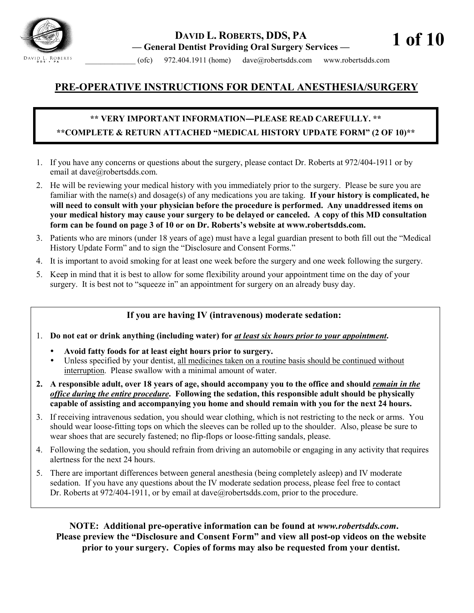

# **DAVID L. ROBERTS, DDS, PA — General Dentist Providing Oral Surgery Services —**

**1 of 10**

 $(ofc)$  972.404.1911 (home) dave@robertsdds.com www.robertsdds.com

# **PRE-OPERATIVE INSTRUCTIONS FOR DENTAL ANESTHESIA/SURGERY**

# **\*\* VERY IMPORTANT INFORMATION―PLEASE READ CAREFULLY. \*\* \*\*COMPLETE & RETURN ATTACHED "MEDICAL HISTORY UPDATE FORM" (2 OF 10)\*\***

- 1. If you have any concerns or questions about the surgery, please contact Dr. Roberts at 972/404-1911 or by email at dave@robertsdds.com.
- 2. He will be reviewing your medical history with you immediately prior to the surgery. Please be sure you are familiar with the name(s) and dosage(s) of any medications you are taking. **If your history is complicated, he will need to consult with your physician before the procedure is performed. Any unaddressed items on your medical history may cause your surgery to be delayed or canceled. A copy of this MD consultation form can be found on page 3 of 10 or on Dr. Roberts's website at [www.robertsdds.com.](http://www.robertsdds.com/)**
- 3. Patients who are minors (under 18 years of age) must have a legal guardian present to both fill out the "Medical History Update Form" and to sign the "Disclosure and Consent Forms."
- 4. It is important to avoid smoking for at least one week before the surgery and one week following the surgery.
- 5. Keep in mind that it is best to allow for some flexibility around your appointment time on the day of your surgery. It is best not to "squeeze in" an appointment for surgery on an already busy day.

### **If you are having IV (intravenous) moderate sedation:**

- 1. **Do not eat or drink anything (including water) for** *at least six hours prior to your appointment***.** 
	- Avoid fatty foods for at least eight hours prior to surgery.
	- Unless specified by your dentist, all medicines taken on a routine basis should be continued without interruption. Please swallow with a minimal amount of water.
- **2. A responsible adult, over 18 years of age, should accompany you to the office and should** *remain in the office during the entire procedure***. Following the sedation, this responsible adult should be physically capable of assisting and accompanying you home and should remain with you for the next 24 hours.**
- 3. If receiving intravenous sedation, you should wear clothing, which is not restricting to the neck or arms. You should wear loose-fitting tops on which the sleeves can be rolled up to the shoulder. Also, please be sure to wear shoes that are securely fastened; no flip-flops or loose-fitting sandals, please.
- 4. Following the sedation, you should refrain from driving an automobile or engaging in any activity that requires alertness for the next 24 hours.
- 5. There are important differences between general anesthesia (being completely asleep) and IV moderate sedation. If you have any questions about the IV moderate sedation process, please feel free to contact Dr. Roberts at 972/404-1911, or by email at [dave@robertsdds.com,](mailto:dave@robertsdds.com) prior to the procedure.

**NOTE: Additional pre-operative information can be found at** *[www.robertsdds.com](http://www.rfoustdds.com/)***. Please preview the "Disclosure and Consent Form" and view all post-op videos on the website prior to your surgery. Copies of forms may also be requested from your dentist.**